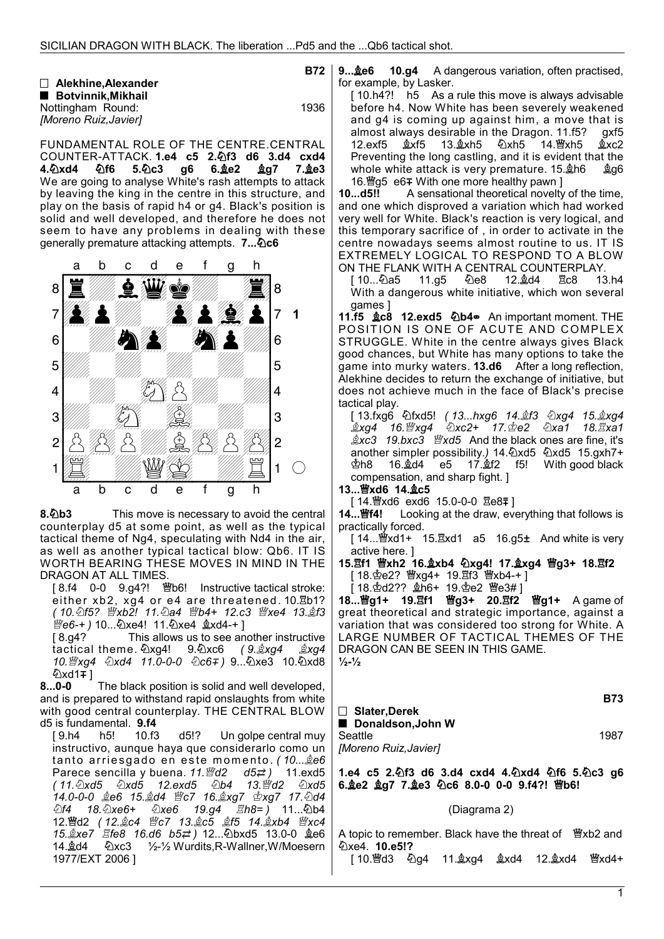|                            | <b>B72</b> |
|----------------------------|------------|
| $\Box$ Alekhine. Alexander |            |
| ■ Botvinnik.Mikhail        |            |
| Nottingham Round:          | 1936       |
| [Moreno Ruiz, Javier]      |            |

FUNDAMENTAL ROLE OF THE CENTRE.CENTRAL COUNTER-ATTACK. 1.e4 c5 2. lf3 d6 3.d4 cxd4  $4.\&$ Xd4  $\&$ f6 5. $\&$ c3 g6 6. $\&$ e2  $\&$ g7 7. $\&$ e3 We are going to analyse White's rash attempts to attack by leaving the king in the centre in this structure, and play on the basis of rapid h4 or g4. Black's position is solid and well developed, and therefore he does not seem to have any problems in dealing with these generally premature attacking attempts. 7... 0c6



8.0b3 This move is necessary to avoid the central counterplay d5 at some point, as well as the typical tactical theme of Ng4, speculating with Nd4 in the air, as well as another typical tactical blow: Qb6. IT IS WORTH BEARING THESE MOVES IN MIND IN THE DRAGON AT ALL TIMES.

 $[8.14 \quad 0-0 \quad 9.94$ ?! \"b6! Instructive tactical stroke: either xb2, xg4 or e4 are threatened. 10.8b1? ( 10. h5? 暨xb2! 11. ha4 暨b4+ 12.c3 暨xe4 13. gf3

*彎e6-*+ ) 10...۞xe4! 11.④xe4 ĝxd4-+ ]<br>[8.g4? This allows us to see an This allows us to see another instructive tactical theme.  $\sqrt{2}xq4$ ! 9. $\sqrt{2}xc6$  (9. $\sqrt{2}xq4$   $\sqrt{2}xq4$  10.xg4 xd4 11.0-0-0 c6 ) 9...xe3 10.xd8 **۞xd1∓**]

 8...0-0 The black position is solid and well developed, and is prepared to withstand rapid onslaughts from white with good central counterplay. THE CENTRAL BLOW d5 is fundamental. 9.f4

[9.h4 h5! 10.f3 d5!? Un golpe central muy instructivo, aunque haya que considerarlo como un tanto arriesgado en este momento (10... e66)<br>Parece sencilla y buena. 11. e62 d5= 2) 11. exd5 Parece sencilla y buena. 11.曾d2 d5 2) 11.exd5<br>(11.2xd5 2xd5 12.exd5 2b4 13.曾d2 2xd5 ( 11.xd5 xd5 12.exd5 b4 13.d2 xd5 14.0-0-0 e6 15.d4 c7 16.xg7 xg7 17.d4  $\hat{\triangle}$ f4 18. $\hat{\triangle}$ xe6  $\hat{\triangle}$ xe6 19.g4  $\hat{\triangle}$ h8= ) 11... $\hat{\triangle}$ b4 12. 曾d2 (12. *gc4 暨c7 13. gc5 gf5 14. gxb4 暨xc4*  15.xe7 fe8 16.d6 b5 ) 12...bxd5 13.0-0 e6 14.d4 xc3 ½-½ Wurdits,R-Wallner,W/Moesern 1977/EXT 2006 ]

9...**the 6 10.g4** A dangerous variation, often practised, for example, by Lasker.

[10.h4?! h5 As a rule this move is always advisable before h4. Now White has been severely weakened and g4 is coming up against him, a move that is almost always desirable in the Dragon. 11.f5? gxf5<br>12.exf5 ஆxf5 13.ஆxh5 公xh5 14.營xh5 ஆxc2 14.轡xh5 Preventing the long castling, and it is evident that the whole white attack is very premature. 15. h6 & g6 16. @g5 e6∓ With one more healthy pawn 1

 10...d5!! A sensational theoretical novelty of the time, and one which disproved a variation which had worked very well for White. Black's reaction is very logical, and this temporary sacrifice of , in order to activate in the centre nowadays seems almost routine to us. IT IS EXTREMELY LOGICAL TO RESPOND TO A BLOW ON THE FLANK WITH A CENTRAL COUNTERPLAY.

10...幻a5 11.g5 幻e8 12. $\triangle 4$ d4 骂c8 13.h4 With a dangerous white initiative, which won several games ]

11.f5 **gc8** 12.exd5 勾b4 An important moment. THE POSITION IS ONE OF ACUTE AND COMPLEX STRUGGLE. White in the centre always gives Black good chances, but White has many options to take the game into murky waters. 13.d6 After a long reflection, Alekhine decides to return the exchange of initiative, but does not achieve much in the face of Black's precise tactical play.

 [ 13.fxg6 fxd5! ( 13...hxg6 14.f3 xg4 15.xg4 \_\$xq4 16.™xq4 లు xc2+ 17.ూe2 లు xa1 18.፰xa1  $\&xc3$  19.bxc3  $\&xd5$  And the black ones are fine, it's another simpler possibility.) 14. 2xd5 2xd5 15.gxh7+  $\Phi$ h8 16. $\triangleleft$ d4 e5 17. $\triangleleft$ f2 f5! With good black compensation, and sharp fight. ]

13... 曾xd6 14. gc5

[ 14.營xd6 exd6 15.0-0-0 宮e8∓]<br>**14...醬f4!** Looking at the draw, eve Looking at the draw, everything that follows is practically forced.

 $[14...$  $\mathcal{W}$ xd1+ 15. $\mathcal{X}$ xd1 a5 16.g5 $\pm$  And white is very active here. ]

15. h1 曾xh2 16. gxb4 2xg4! 17. gxg4 曾g3+ 18. h12 [ 18. 空e2? 暨xg4+ 19. 骂f3 暨xb4-+ ]

 $[18.4d2??$   $406+ 19.4e2$   $40e3#$ ]

18...曾g1+ 19.耳f1 曾g3+ 20.耳f2 曾g1+ A game of great theoretical and strategic importance, against a variation that was considered too strong for White. A LARGE NUMBER OF TACTICAL THEMES OF THE DRAGON CAN BE SEEN IN THIS GAME.  $\frac{1}{2} - \frac{1}{2}$ 

B73 □ Slater, Derek ■ Donaldson, John W Seattle 1987 [Moreno Ruiz,Javier]

1.e4 c5 2. h3 d6 3.d4 cxd4 4. h2xd4 h2f6 5. h2c3 g6 6. e2 ag7 7. e3 ①c6 8.0-0 0-0 9. f4?! 窗b6!

## (Diagrama 2)

A topic to remember. Black have the threat of *暨xb2* and xe4. 10.e5!?

[ 10.d3 g4 11.xg4 xd4 12.xd4 xd4+